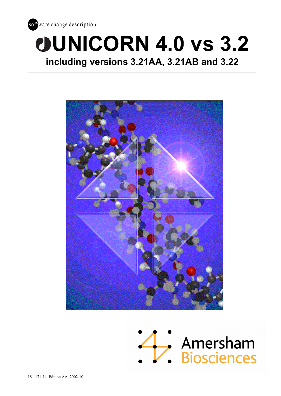

# **UNICORN 4.0 vs 3.2 including versions 3.21AA, 3.21AB and 3.22**



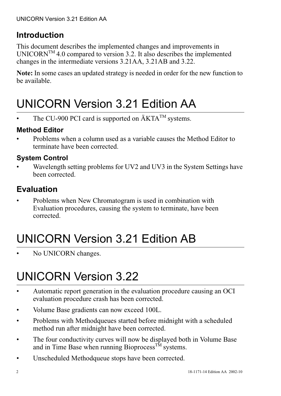## **Introduction**

This document describes the implemented changes and improvements in UNICORN<sup>TM</sup> 4.0 compared to version 3.2. It also describes the implemented changes in the intermediate versions 3.21AA, 3.21AB and 3.22.

**Note:** In some cases an updated strategy is needed in order for the new function to be available.

# UNICORN Version 3.21 Edition AA

The CU-900 PCI card is supported on  $\text{AKTA}^{\text{TM}}$  systems.

## **Method Editor**

• Problems when a column used as a variable causes the Method Editor to terminate have been corrected.

## **System Control**

• Wavelength setting problems for UV2 and UV3 in the System Settings have been corrected.

## **Evaluation**

• Problems when New Chromatogram is used in combination with Evaluation procedures, causing the system to terminate, have been corrected.

# UNICORN Version 3.21 Edition AB

No UNICORN changes.

# UNICORN Version 3.22

- Automatic report generation in the evaluation procedure causing an OCI evaluation procedure crash has been corrected.
- Volume Base gradients can now exceed 100L.
- Problems with Methodqueues started before midnight with a scheduled method run after midnight have been corrected.
- The four conductivity curves will now be displayed both in Volume Base and in Time Base when running Bioprocess<sup>TM</sup> systems.
- Unscheduled Methodqueue stops have been corrected.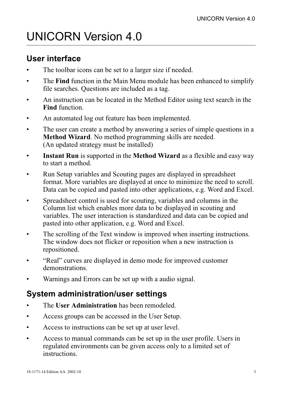# UNICORN Version 4.0

## **User interface**

- The toolbar icons can be set to a larger size if needed.
- The **Find** function in the Main Menu module has been enhanced to simplify file searches. Questions are included as a tag.
- An instruction can be located in the Method Editor using text search in the **Find** function.
- An automated log out feature has been implemented.
- The user can create a method by answering a series of simple questions in a **Method Wizard**. No method programming skills are needed. (An updated strategy must be installed)
- **Instant Run** is supported in the **Method Wizard** as a flexible and easy way to start a method.
- Run Setup variables and Scouting pages are displayed in spreadsheet format. More variables are displayed at once to minimize the need to scroll. Data can be copied and pasted into other applications, e.g. Word and Excel.
- Spreadsheet control is used for scouting, variables and columns in the Column list which enables more data to be displayed in scouting and variables. The user interaction is standardized and data can be copied and pasted into other application, e.g. Word and Excel.
- The scrolling of the Text window is improved when inserting instructions. The window does not flicker or reposition when a new instruction is repositioned.
- "Real" curves are displayed in demo mode for improved customer demonstrations.
- Warnings and Errors can be set up with a audio signal.

## **System administration/user settings**

- The **User Administration** has been remodeled.
- Access groups can be accessed in the User Setup.
- Access to instructions can be set up at user level.
- Access to manual commands can be set up in the user profile. Users in regulated environments can be given access only to a limited set of instructions.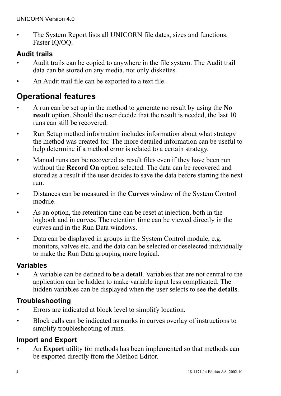• The System Report lists all UNICORN file dates, sizes and functions. Faster IQ/OQ.

### **Audit trails**

- Audit trails can be copied to anywhere in the file system. The Audit trail data can be stored on any media, not only diskettes.
- An Audit trail file can be exported to a text file.

## **Operational features**

- A run can be set up in the method to generate no result by using the **No result** option. Should the user decide that the result is needed, the last 10 runs can still be recovered.
- Run Setup method information includes information about what strategy the method was created for. The more detailed information can be useful to help determine if a method error is related to a certain strategy.
- Manual runs can be recovered as result files even if they have been run without the **Record On** option selected. The data can be recovered and stored as a result if the user decides to save the data before starting the next run.
- Distances can be measured in the **Curves** window of the System Control module.
- As an option, the retention time can be reset at injection, both in the logbook and in curves. The retention time can be viewed directly in the curves and in the Run Data windows.
- Data can be displayed in groups in the System Control module, e.g. monitors, valves etc. and the data can be selected or deselected individually to make the Run Data grouping more logical.

### **Variables**

• A variable can be defined to be a **detail**. Variables that are not central to the application can be hidden to make variable input less complicated. The hidden variables can be displayed when the user selects to see the **details**.

### **Troubleshooting**

- Errors are indicated at block level to simplify location.
- Block calls can be indicated as marks in curves overlay of instructions to simplify troubleshooting of runs.

### **Import and Export**

• An **Export** utility for methods has been implemented so that methods can be exported directly from the Method Editor.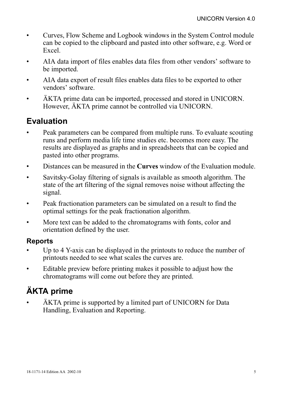- Curves, Flow Scheme and Logbook windows in the System Control module can be copied to the clipboard and pasted into other software, e.g. Word or Excel.
- AIA data import of files enables data files from other vendors' software to be imported.
- AIA data export of result files enables data files to be exported to other vendors' software.
- ÄKTA prime data can be imported, processed and stored in UNICORN. However, ÄKTA prime cannot be controlled via UNICORN.

## **Evaluation**

- Peak parameters can be compared from multiple runs. To evaluate scouting runs and perform media life time studies etc. becomes more easy. The results are displayed as graphs and in spreadsheets that can be copied and pasted into other programs.
- Distances can be measured in the **Curves** window of the Evaluation module.
- Savitsky-Golay filtering of signals is available as smooth algorithm. The state of the art filtering of the signal removes noise without affecting the signal.
- Peak fractionation parameters can be simulated on a result to find the optimal settings for the peak fractionation algorithm.
- More text can be added to the chromatograms with fonts, color and orientation defined by the user.

### **Reports**

- Up to 4 Y-axis can be displayed in the printouts to reduce the number of printouts needed to see what scales the curves are.
- Editable preview before printing makes it possible to adjust how the chromatograms will come out before they are printed.

## **ÄKTA prime**

• ÄKTA prime is supported by a limited part of UNICORN for Data Handling, Evaluation and Reporting.